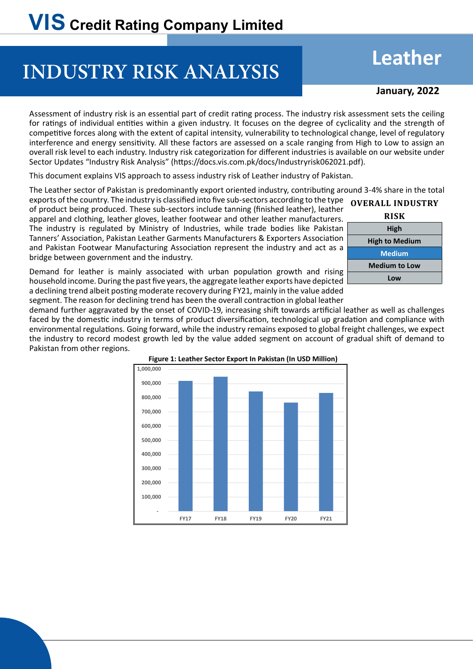# **INDUSTRY RISK ANALYSIS**

## **Leather**

### **January, 2022**

Assessment of industry risk is an essential part of credit rating process. The industry risk assessment sets the ceiling for ratings of individual entities within a given industry. It focuses on the degree of cyclicality and the strength of competitive forces along with the extent of capital intensity, vulnerability to technological change, level of regulatory interference and energy sensitivity. All these factors are assessed on a scale ranging from High to Low to assign an overall risk level to each industry. Industry risk categorization for different industries is available on our website under Sector Updates "Industry Risk Analysis" (https://docs.vis.com.pk/docs/Industryrisk062021.pdf).

This document explains VIS approach to assess industry risk of Leather industry of Pakistan.

The Leather sector of Pakistan is predominantly export oriented industry, contributing around 3-4% share in the total

exports of the country. The industry is classified into five sub-sectors according to the type of product being produced. These sub-sectors include tanning (finished leather), leather apparel and clothing, leather gloves, leather footwear and other leather manufacturers. The industry is regulated by Ministry of Industries, while trade bodies like Pakistan Tanners' Association, Pakistan Leather Garments Manufacturers & Exporters Association and Pakistan Footwear Manufacturing Association represent the industry and act as a bridge between government and the industry.

| <b>OVERALL INDUSTRY</b> |  |  |  |  |  |  |
|-------------------------|--|--|--|--|--|--|
| <b>RISK</b>             |  |  |  |  |  |  |
| High                    |  |  |  |  |  |  |
| <b>High to Medium</b>   |  |  |  |  |  |  |
| <b>Medium</b>           |  |  |  |  |  |  |
| <b>Medium to Low</b>    |  |  |  |  |  |  |
| Low                     |  |  |  |  |  |  |

Demand for leather is mainly associated with urban population growth and rising household income. During the past five years, the aggregate leather exports have depicted a declining trend albeit posting moderate recovery during FY21, mainly in the value added segment. The reason for declining trend has been the overall contraction in global leather

demand further aggravated by the onset of COVID-19, increasing shift towards artificial leather as well as challenges faced by the domestic industry in terms of product diversification, technological up gradation and compliance with environmental regulations. Going forward, while the industry remains exposed to global freight challenges, we expect the industry to record modest growth led by the value added segment on account of gradual shift of demand to Pakistan from other regions.

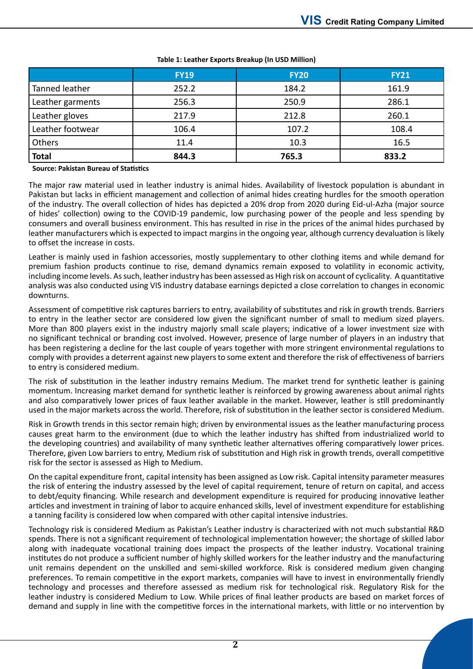|                  | <b>FY19</b> | <b>FY20</b> | <b>FY21</b> |  |
|------------------|-------------|-------------|-------------|--|
| Tanned leather   | 252.2       | 184.2       | 161.9       |  |
| Leather garments | 256.3       | 250.9       | 286.1       |  |
| Leather gloves   | 217.9       | 212.8       | 260.1       |  |
| Leather footwear | 106.4       | 107.2       | 108.4       |  |
| Others           | 11.4        | 10.3        | 16.5        |  |
| <b>Total</b>     | 844.3       | 765.3       | 833.2       |  |

#### **Table 1: Leather Exports Breakup (In USD Million)**

**Source: Pakistan Bureau of Statistics**

The major raw material used in leather industry is animal hides. Availability of livestock population is abundant in Pakistan but lacks in efficient management and collection of animal hides creating hurdles for the smooth operation of the industry. The overall collection of hides has depicted a 20% drop from 2020 during Eid-ul-Azha (major source of hides' collection) owing to the COVID-19 pandemic, low purchasing power of the people and less spending by consumers and overall business environment. This has resulted in rise in the prices of the animal hides purchased by leather manufacturers which is expected to impact margins in the ongoing year, although currency devaluation is likely to offset the increase in costs.

Leather is mainly used in fashion accessories, mostly supplementary to other clothing items and while demand for premium fashion products continue to rise, demand dynamics remain exposed to volatility in economic activity, including income levels. As such, leather industry has been assessed as High risk on account of cyclicality. A quantitative analysis was also conducted using VIS industry database earnings depicted a close correlation to changes in economic downturns.

Assessment of competitive risk captures barriers to entry, availability of substitutes and risk in growth trends. Barriers to entry in the leather sector are considered low given the significant number of small to medium sized players. More than 800 players exist in the industry majorly small scale players; indicative of a lower investment size with no significant technical or branding cost involved. However, presence of large number of players in an industry that has been registering a decline for the last couple of years together with more stringent environmental regulations to comply with provides a deterrent against new players to some extent and therefore the risk of effectiveness of barriers to entry is considered medium.

The risk of substitution in the leather industry remains Medium. The market trend for synthetic leather is gaining momentum. Increasing market demand for synthetic leather is reinforced by growing awareness about animal rights and also comparatively lower prices of faux leather available in the market. However, leather is still predominantly used in the major markets across the world. Therefore, risk of substitution in the leather sector is considered Medium.

Risk in Growth trends in this sector remain high; driven by environmental issues as the leather manufacturing process causes great harm to the environment (due to which the leather industry has shifted from industrialized world to the developing countries) and availability of many synthetic leather alternatives offering comparatively lower prices. Therefore, given Low barriers to entry, Medium risk of substitution and High risk in growth trends, overall competitive risk for the sector is assessed as High to Medium.

On the capital expenditure front, capital intensity has been assigned as Low risk. Capital intensity parameter measures the risk of entering the industry assessed by the level of capital requirement, tenure of return on capital, and access to debt/equity financing. While research and development expenditure is required for producing innovative leather articles and investment in training of labor to acquire enhanced skills, level of investment expenditure for establishing a tanning facility is considered low when compared with other capital intensive industries.

Technology risk is considered Medium as Pakistan's Leather industry is characterized with not much substantial R&D spends. There is not a significant requirement of technological implementation however; the shortage of skilled labor along with inadequate vocational training does impact the prospects of the leather industry. Vocational training institutes do not produce a sufficient number of highly skilled workers for the leather industry and the manufacturing unit remains dependent on the unskilled and semi-skilled workforce. Risk is considered medium given changing preferences. To remain competitive in the export markets, companies will have to invest in environmentally friendly technology and processes and therefore assessed as medium risk for technological risk. Regulatory Risk for the leather industry is considered Medium to Low. While prices of final leather products are based on market forces of demand and supply in line with the competitive forces in the international markets, with little or no intervention by